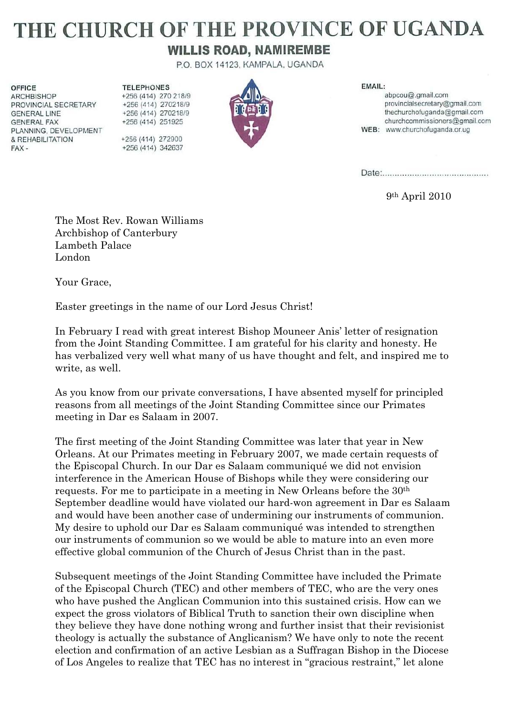## THE CHURCH OF THE PROVINCE OF UGANDA

## **WILLIS ROAD, NAMIREMBE**

P.O. BOX 14123, KAMPALA, UGANDA

**OFFICE ARCHBISHOP** PROVINCIAL SECRETARY **GENERAL LINE GENERAL FAX** PLANNING, DEVELOPMENT & REHABILITATION FAX-

**TELEPHONES** +256 (414) 270 218/9 +256 (414) 270218/9 +256 (414) 270218/9 +256 (414) 251925 +256 (414) 272900 +256 (414) 342637



EMAIL:

abpcou@.gmail.com provincialsecretary@gmail.com thechurchofuganda@gmail.com churchcommissioners@gmail.com WEB: www.churchofuganda.or.ug

9th April 2010

The Most Rev. Rowan Williams Archbishop of Canterbury Lambeth Palace London

Your Grace,

Easter greetings in the name of our Lord Jesus Christ!

In February I read with great interest Bishop Mouneer Anis' letter of resignation from the Joint Standing Committee. I am grateful for his clarity and honesty. He has verbalized very well what many of us have thought and felt, and inspired me to write, as well.

As you know from our private conversations, I have absented myself for principled reasons from all meetings of the Joint Standing Committee since our Primates meeting in Dar es Salaam in 2007.

The first meeting of the Joint Standing Committee was later that year in New Orleans. At our Primates meeting in February 2007, we made certain requests of the Episcopal Church. In our Dar es Salaam communiqué we did not envision interference in the American House of Bishops while they were considering our requests. For me to participate in a meeting in New Orleans before the 30th September deadline would have violated our hard-won agreement in Dar es Salaam and would have been another case of undermining our instruments of communion. My desire to uphold our Dar es Salaam communiqué was intended to strengthen our instruments of communion so we would be able to mature into an even more effective global communion of the Church of Jesus Christ than in the past.

Subsequent meetings of the Joint Standing Committee have included the Primate of the Episcopal Church (TEC) and other members of TEC, who are the very ones who have pushed the Anglican Communion into this sustained crisis. How can we expect the gross violators of Biblical Truth to sanction their own discipline when they believe they have done nothing wrong and further insist that their revisionist theology is actually the substance of Anglicanism? We have only to note the recent election and confirmation of an active Lesbian as a Suffragan Bishop in the Diocese of Los Angeles to realize that TEC has no interest in "gracious restraint," let alone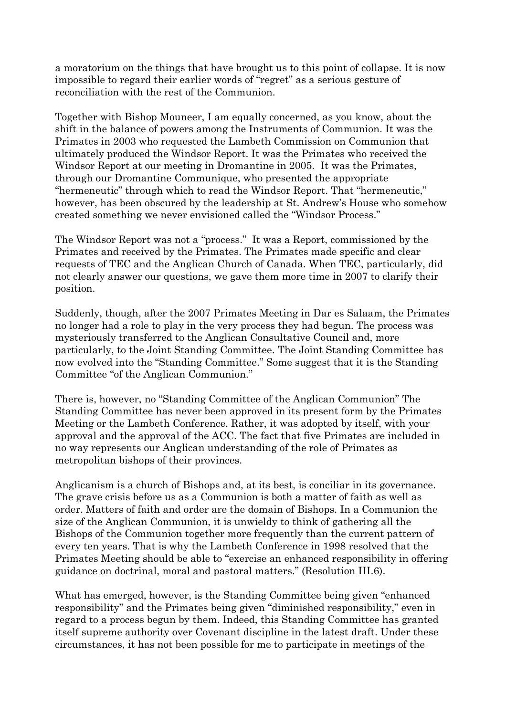a moratorium on the things that have brought us to this point of collapse. It is now impossible to regard their earlier words of "regret" as a serious gesture of reconciliation with the rest of the Communion.

Together with Bishop Mouneer, I am equally concerned, as you know, about the shift in the balance of powers among the Instruments of Communion. It was the Primates in 2003 who requested the Lambeth Commission on Communion that ultimately produced the Windsor Report. It was the Primates who received the Windsor Report at our meeting in Dromantine in 2005. It was the Primates, through our Dromantine Communique, who presented the appropriate "hermeneutic" through which to read the Windsor Report. That "hermeneutic," however, has been obscured by the leadership at St. Andrew's House who somehow created something we never envisioned called the "Windsor Process."

The Windsor Report was not a "process." It was a Report, commissioned by the Primates and received by the Primates. The Primates made specific and clear requests of TEC and the Anglican Church of Canada. When TEC, particularly, did not clearly answer our questions, we gave them more time in 2007 to clarify their position.

Suddenly, though, after the 2007 Primates Meeting in Dar es Salaam, the Primates no longer had a role to play in the very process they had begun. The process was mysteriously transferred to the Anglican Consultative Council and, more particularly, to the Joint Standing Committee. The Joint Standing Committee has now evolved into the "Standing Committee." Some suggest that it is the Standing Committee "of the Anglican Communion."

There is, however, no "Standing Committee of the Anglican Communion" The Standing Committee has never been approved in its present form by the Primates Meeting or the Lambeth Conference. Rather, it was adopted by itself, with your approval and the approval of the ACC. The fact that five Primates are included in no way represents our Anglican understanding of the role of Primates as metropolitan bishops of their provinces.

Anglicanism is a church of Bishops and, at its best, is conciliar in its governance. The grave crisis before us as a Communion is both a matter of faith as well as order. Matters of faith and order are the domain of Bishops. In a Communion the size of the Anglican Communion, it is unwieldy to think of gathering all the Bishops of the Communion together more frequently than the current pattern of every ten years. That is why the Lambeth Conference in 1998 resolved that the Primates Meeting should be able to "exercise an enhanced responsibility in offering guidance on doctrinal, moral and pastoral matters." (Resolution III.6).

What has emerged, however, is the Standing Committee being given "enhanced responsibility" and the Primates being given "diminished responsibility," even in regard to a process begun by them. Indeed, this Standing Committee has granted itself supreme authority over Covenant discipline in the latest draft. Under these circumstances, it has not been possible for me to participate in meetings of the